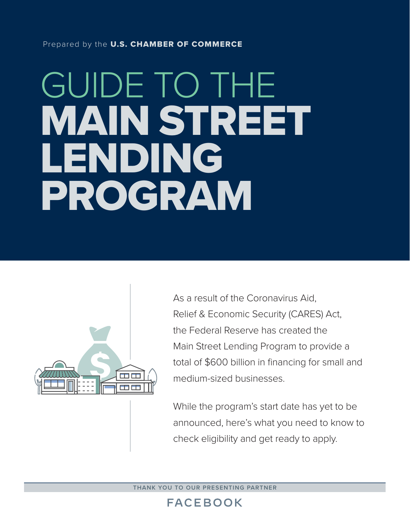#### Prepared by the U.S. CHAMBER OF COMMERCE

# GUIDE TO THE MAIN STREET LENDING PROGRAM



As a result of the Coronavirus Aid, Relief & Economic Security (CARES) Act, the Federal Reserve has created the Main Street Lending Program to provide a total of \$600 billion in financing for small and medium-sized businesses.

While the program's start date has yet to be announced, here's what you need to know to check eligibility and get ready to apply.

**THANK YOU TO OUR PRESENTING PARTNER**

## **FACEBOOK**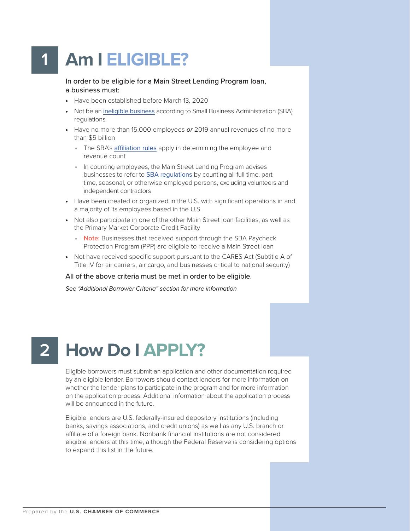## **1 Am I ELIGIBLE?**

In order to be eligible for a Main Street Lending Program loan, a business must:

- Have been established before March 13, 2020
- Not be an ineligible business according to Small Business Administration (SBA) regulations
- Have no more than 15,000 employees *or* 2019 annual revenues of no more than \$5 billion
	- The SBA's affiliation rules apply in determining the employee and revenue count
	- In counting employees, the Main Street Lending Program advises businesses to refer to SBA regulations by counting all full-time, parttime, seasonal, or otherwise employed persons, excluding volunteers and independent contractors
- Have been created or organized in the U.S. with significant operations in and a majority of its employees based in the U.S.
- Not also participate in one of the other Main Street loan facilities, as well as the Primary Market Corporate Credit Facility
	- **Note:** Businesses that received support through the SBA Paycheck Protection Program (PPP) are eligible to receive a Main Street loan
- Not have received specific support pursuant to the CARES Act (Subtitle A of Title IV for air carriers, air cargo, and businesses critical to national security)

#### All of the above criteria must be met in order to be eligible.

*See "Additional Borrower Criteria" section for more information*

### **How Do I APPLY? 2**

Eligible borrowers must submit an application and other documentation required by an eligible lender. Borrowers should contact lenders for more information on whether the lender plans to participate in the program and for more information on the application process. Additional information about the application process will be announced in the future.

Eligible lenders are U.S. federally-insured depository institutions (including banks, savings associations, and credit unions) as well as any U.S. branch or affiliate of a foreign bank. Nonbank financial institutions are not considered eligible lenders at this time, although the Federal Reserve is considering options to expand this list in the future.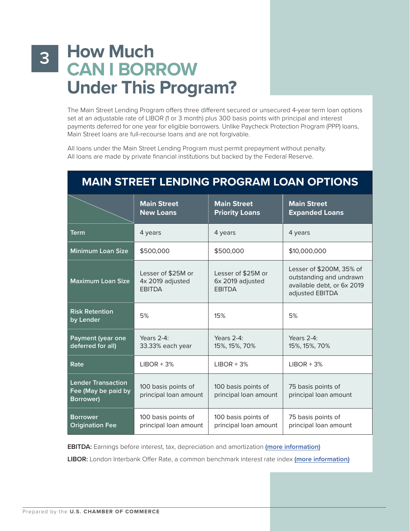## **3 How Much CAN I BORROW Under This Program?**

The Main Street Lending Program offers three different secured or unsecured 4-year term loan options set at an adjustable rate of LIBOR (1 or 3 month) plus 300 basis points with principal and interest payments deferred for one year for eligible borrowers. Unlike Paycheck Protection Program (PPP) loans, Main Street loans are full-recourse loans and are not forgivable.

All loans under the Main Street Lending Program must permit prepayment without penalty. All loans are made by private financial institutions but backed by the Federal Reserve.

|                                                               | <b>Main Street</b><br><b>New Loans</b>                  | <b>Main Street</b><br><b>Priority Loans</b>             | <b>Main Street</b><br><b>Expanded Loans</b>                                                          |
|---------------------------------------------------------------|---------------------------------------------------------|---------------------------------------------------------|------------------------------------------------------------------------------------------------------|
| <b>Term</b>                                                   | 4 years                                                 | 4 years                                                 | 4 years                                                                                              |
| <b>Minimum Loan Size</b>                                      | \$500,000                                               | \$500,000                                               | \$10,000,000                                                                                         |
| <b>Maximum Loan Size</b>                                      | Lesser of \$25M or<br>4x 2019 adjusted<br><b>EBITDA</b> | Lesser of \$25M or<br>6x 2019 adjusted<br><b>EBITDA</b> | Lesser of \$200M, 35% of<br>outstanding and undrawn<br>available debt, or 6x 2019<br>adjusted EBITDA |
| <b>Risk Retention</b><br>by Lender                            | 5%                                                      | 15%                                                     | 5%                                                                                                   |
| Payment (year one<br>deferred for all)                        | Years 2-4:<br>33.33% each year                          | Years $2-4$ :<br>15%, 15%, 70%                          | Years 2-4:<br>15%, 15%, 70%                                                                          |
| Rate                                                          | $LIBOR + 3%$                                            | $LIBOR + 3%$                                            | $LIBOR + 3%$                                                                                         |
| <b>Lender Transaction</b><br>Fee (May be paid by<br>Borrower) | 100 basis points of<br>principal loan amount            | 100 basis points of<br>principal loan amount            | 75 basis points of<br>principal loan amount                                                          |
| <b>Borrower</b><br><b>Origination Fee</b>                     | 100 basis points of<br>principal loan amount            | 100 basis points of<br>principal loan amount            | 75 basis points of<br>principal loan amount                                                          |

## **MAIN STREET LENDING PROGRAM LOAN OPTIONS**

**EBITDA:** Earnings before interest, tax, depreciation and amortization **(more information)**

**LIBOR:** London Interbank Offer Rate, a common benchmark interest rate index **(more information)**